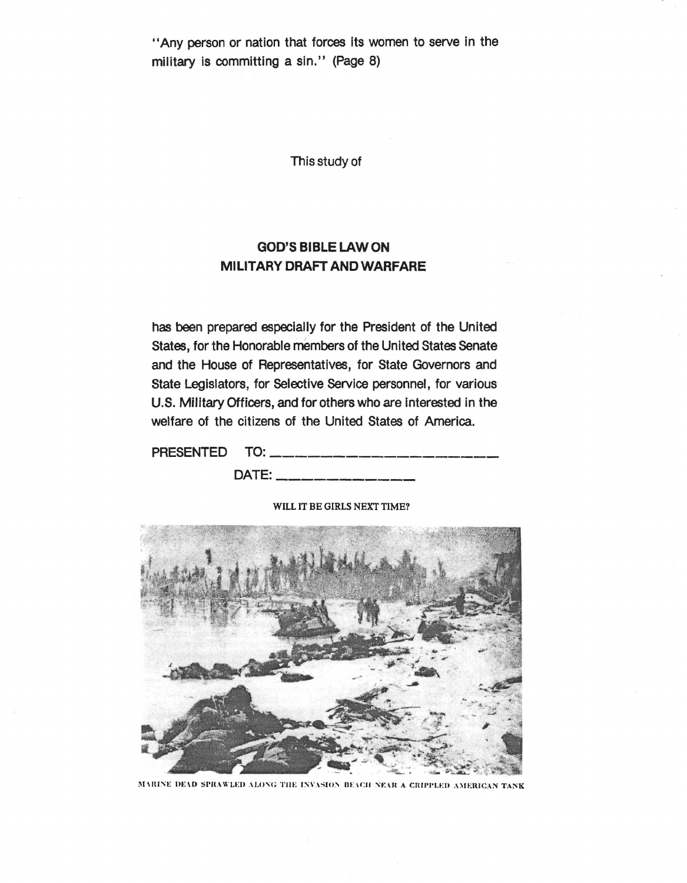"Any person or nation that forces its women to serve in the military is committing a sin." (Page 8)

This study of

### **GOD'S BIBLE LAW ON MILITARY DRAFT AND WARFARE**

has been prepared especially for the President of the United States, for the Honorable members of the United States senate and the House of Representatives, for State Governors and State Legislators, for selective service personnel, for various U.S. Military Officers, and for others who are Interested in the welfare of the citizens of the United States of America.

| PRESENTED TO: ______________________                                                      |  |
|-------------------------------------------------------------------------------------------|--|
| DATE:<br>.<br>Alfiniu www. Alason antika mythiö Alfino antiitiy qaasa argay antisiy qaasa |  |

### WILL IT BE GIRLS NEXT TIME?



MARINE DEAD SPRAWLED ALONG THE INVASION BEACH NEAR A CRIPPLED AMERICAN TANK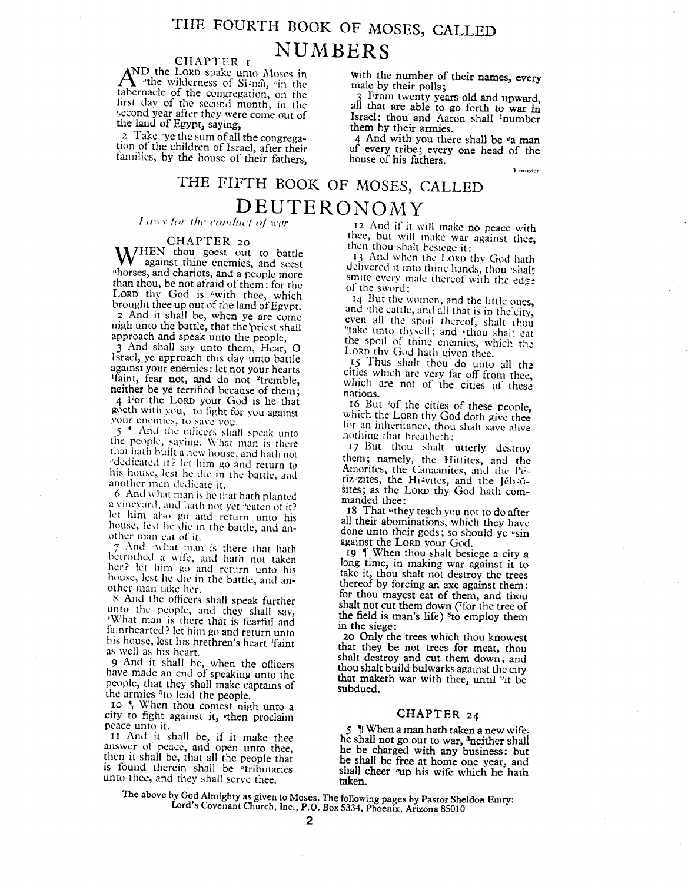## THE FOURTH BOOK OF MOSES, CALLED **NUMBERS**

LORD spake up  $A^{\text{inter}}$  with the wilderness of Si-nai, 'in the tabernacle of the congregation, on the tabernacle of the congregation, on the<br>first day of the second month, in the second year after they were come out of the land of Egypt, saying,

2 Take 'ye the sum of all the congregation of the children of Israel, after their the children of Israel, after the families, by the house of their fathers

with the number of their names, every male by their polls;

3 From tWenty years old and upward, all that are able to go forth to war in Israel: thou and Aaron shall lnumber them by their armies.

4 And with you there shall be *da* man of every tribe; every one head of the house of his fathers.

1 muster

## THE FIFTH BOOK OF MOSES, CALLED  $\frac{D E U T E R O N O M Y}{L$  and *s tor the conduct of war*

### CHAPTER 20

W against thine enemies, and sees<br>horses, and chariots, and a people more **VV** against thine enemies, and seest <sup>a</sup>horses, and chariots, and a people more than thou, be not afraid of them: for the than thou, be not afraid of them: for the  $\text{LOD}$  thy God is "with thee, which brought thee up out of the land *at:* Egvpt. 2 And it shall be, when ye are come nigh unto the battle, that the priest shall

approach and speak unto the people, 3 And shall say unto them, Hear, O Israel, ye approach this day unto battle against your enemies: let not your hearts Ifaint, fear not, and do not 2tremble, neither be ye terrified because of them; 4 For the LORD your God is he that gocth with you, to fight for you against our enemies, to save you.

 $\frac{1}{10}$  and the officers shall speak unto the people, saying, What man is there that hath built a new house, and hath not dedicated it? let him go and return to his house, lest he die in the battle, and another man dedicate it.

6 And what man is he that hath planted a vineyard, and hath not yet "eaten of it? let him also go and return unto his house, lest he die in the battle, and another man cat of it.

7 And 'what man is there that hath betrothed a wife, and hath not taken her? let him go and return unto his house, lest he die in the battle, and another man take her.

X And the ofiiccrs shall speak further unto the people, and they shall say, 'What man is there that is fearful and fainthearted? let him go and return unto his house, lest his brethren's heart <sup>4</sup>faint as well as his heart.

9 And it shall he, when the officers have made an end of speaking unto the people, that they shall make captains of the armies <sup>3</sup>to lead the people.

10  $^{\bullet}$  When thou comest nigh unto a<br>city to fight against it, when proclaim CHAPTER 24 citv to fight against it, vthen proclaim

the shall be shall be shall be shall be free at home one year, and then it shall be, that all the people that he shall be free at home one year, and is found therein shall be *\**tributaries shall cheer "up his wife which he hath unto thee, and they shall serve thee. taken.

12 And if it will make no peace with thee, but will make war against thee, then thou shalt besiege it:

13 And when the Lorp thy God hath delivered it into thine hands, thou 'shalt smite every male thereof with the edg? of the sword:

14 But the women, and the little ones, and the cattle, and all that is in the city, even all the spoil thereof, shalt thou "take unto thyself; and 'thou shalt eat the spoil of thine enemies, which the LORD thy God hath given thee.

15 Thus shalt thou do unto all the cities which arc very far off from thee, which are not of the cities of these nations.

r6 But 'of the cities of these people, which the LORD thy God doth give thee for an inheritance, thou shalt save alive nothing that breatheth:

17 But thou shalt utterly destroy them; namely, the Hittites, and th Amorites, the Canaanites, and the Pe riz-zites, the Hi-vites, and the Jeb-usites; as the LORD thy God hath commanded thee:

18 That "they teach you not to do after all their abominations, which they have done unto their gods; so should ye "sin against the LORD your God.

19  $\degree$  When thow shalt besiege a city a long time, in making war against it to take it, thou shalt not destroy the trees thereof by forcing an axe against them: for thou mayest eat of them, and thou shalt not cut them down (7for the tree of the field is man's life)  $6$  to employ them in the siege:

*20 Only* the trees which thou knowest that they be not trees for meat, thou shalt destroy and cut them down; and thou shalt build bulwarks against the city that maketh war with thee, until <sup>9</sup>it be subdued.

 $5 \nabla$  When a man hath taken a new wife, I WHEN A THE MALL THE SHALL DEVICE THE SHALL DEVICE THE SHALL DEVICE THE SHALL DEVICE THE SHALL DEVICE THE SHALL DEVICE THE SHALL DEVICE THE SHALL DEVICE THE SHALL DEVICE THE SHALL DEVICE THE SHALL DEVICE THE SHALL DEVICE swer of peace, and open unto thee, he be charged with any business: but

 $T_{\rm eff}$  above by God Almighty as given to Moses. The following pages by Pastor  $S_{\rm eff}$ . Eq. (1)  $\text{gcd}'\text{s}$  Covenant Church, Inc., P.O. Box 5334, Phoenix, Arizona 85010 Lord's Covenant Church, Inc., P.O. Box 5334, Phoenix, Arizona 85010